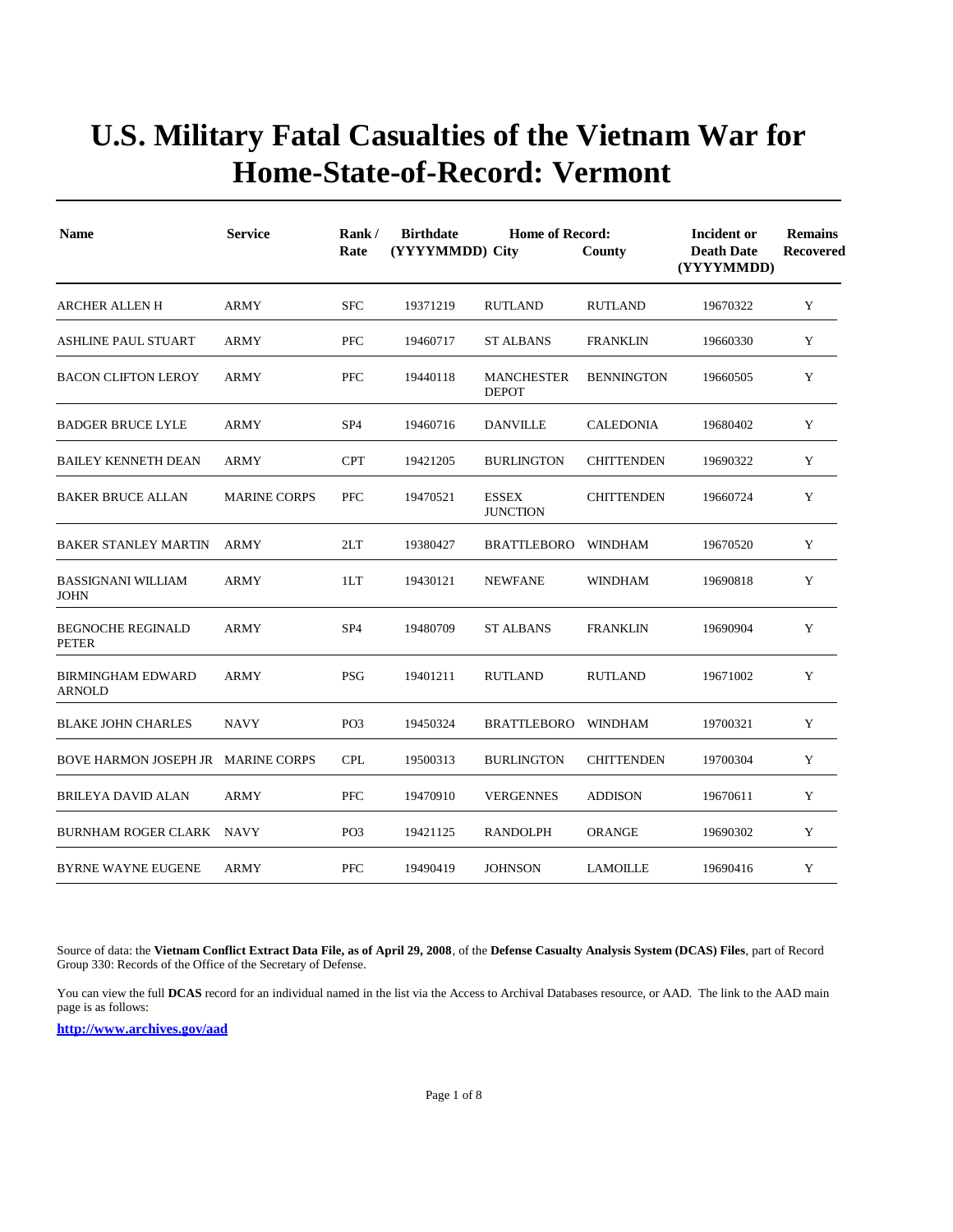| <b>Name</b>                               | <b>Service</b>      | Rank/<br>Rate   | <b>Birthdate</b><br>(YYYYMMDD) City | <b>Home of Record:</b>            | County            | Incident or<br><b>Death Date</b><br>(YYYYMMDD) | <b>Remains</b><br>Recovered |
|-------------------------------------------|---------------------|-----------------|-------------------------------------|-----------------------------------|-------------------|------------------------------------------------|-----------------------------|
| <b>ARCHER ALLEN H</b>                     | <b>ARMY</b>         | <b>SFC</b>      | 19371219                            | <b>RUTLAND</b>                    | <b>RUTLAND</b>    | 19670322                                       | Y                           |
| <b>ASHLINE PAUL STUART</b>                | <b>ARMY</b>         | <b>PFC</b>      | 19460717                            | <b>ST ALBANS</b>                  | <b>FRANKLIN</b>   | 19660330                                       | Y                           |
| <b>BACON CLIFTON LEROY</b>                | <b>ARMY</b>         | <b>PFC</b>      | 19440118                            | <b>MANCHESTER</b><br><b>DEPOT</b> | <b>BENNINGTON</b> | 19660505                                       | Y                           |
| <b>BADGER BRUCE LYLE</b>                  | ARMY                | SP <sub>4</sub> | 19460716                            | DANVILLE                          | CALEDONIA         | 19680402                                       | Y                           |
| <b>BAILEY KENNETH DEAN</b>                | <b>ARMY</b>         | <b>CPT</b>      | 19421205                            | <b>BURLINGTON</b>                 | <b>CHITTENDEN</b> | 19690322                                       | Y                           |
| <b>BAKER BRUCE ALLAN</b>                  | <b>MARINE CORPS</b> | <b>PFC</b>      | 19470521                            | <b>ESSEX</b><br><b>JUNCTION</b>   | <b>CHITTENDEN</b> | 19660724                                       | Y                           |
| <b>BAKER STANLEY MARTIN</b>               | <b>ARMY</b>         | 2LT             | 19380427                            | BRATTLEBORO                       | WINDHAM           | 19670520                                       | $\mathbf Y$                 |
| <b>BASSIGNANI WILLIAM</b><br><b>JOHN</b>  | <b>ARMY</b>         | 1LT             | 19430121                            | <b>NEWFANE</b>                    | <b>WINDHAM</b>    | 19690818                                       | Y                           |
| <b>BEGNOCHE REGINALD</b><br>PETER         | <b>ARMY</b>         | SP <sub>4</sub> | 19480709                            | <b>ST ALBANS</b>                  | <b>FRANKLIN</b>   | 19690904                                       | Y                           |
| <b>BIRMINGHAM EDWARD</b><br><b>ARNOLD</b> | <b>ARMY</b>         | <b>PSG</b>      | 19401211                            | <b>RUTLAND</b>                    | <b>RUTLAND</b>    | 19671002                                       | Y                           |
| <b>BLAKE JOHN CHARLES</b>                 | <b>NAVY</b>         | PO <sub>3</sub> | 19450324                            | BRATTLEBORO WINDHAM               |                   | 19700321                                       | Y                           |
| BOVE HARMON JOSEPH JR MARINE CORPS        |                     | <b>CPL</b>      | 19500313                            | <b>BURLINGTON</b>                 | <b>CHITTENDEN</b> | 19700304                                       | Y                           |
| BRILEYA DAVID ALAN                        | ARMY                | <b>PFC</b>      | 19470910                            | <b>VERGENNES</b>                  | <b>ADDISON</b>    | 19670611                                       | Y                           |
| BURNHAM ROGER CLARK NAVY                  |                     | PO <sub>3</sub> | 19421125                            | RANDOLPH                          | ORANGE            | 19690302                                       | Y                           |
| <b>BYRNE WAYNE EUGENE</b>                 | <b>ARMY</b>         | <b>PFC</b>      | 19490419                            | <b>JOHNSON</b>                    | <b>LAMOILLE</b>   | 19690416                                       | Y                           |

Source of data: the **Vietnam Conflict Extract Data File, as of April 29, 2008**, of the **Defense Casualty Analysis System (DCAS) Files**, part of Record Group 330: Records of the Office of the Secretary of Defense.

You can view the full **DCAS** record for an individual named in the list via the Access to Archival Databases resource, or AAD. The link to the AAD main page is as follows: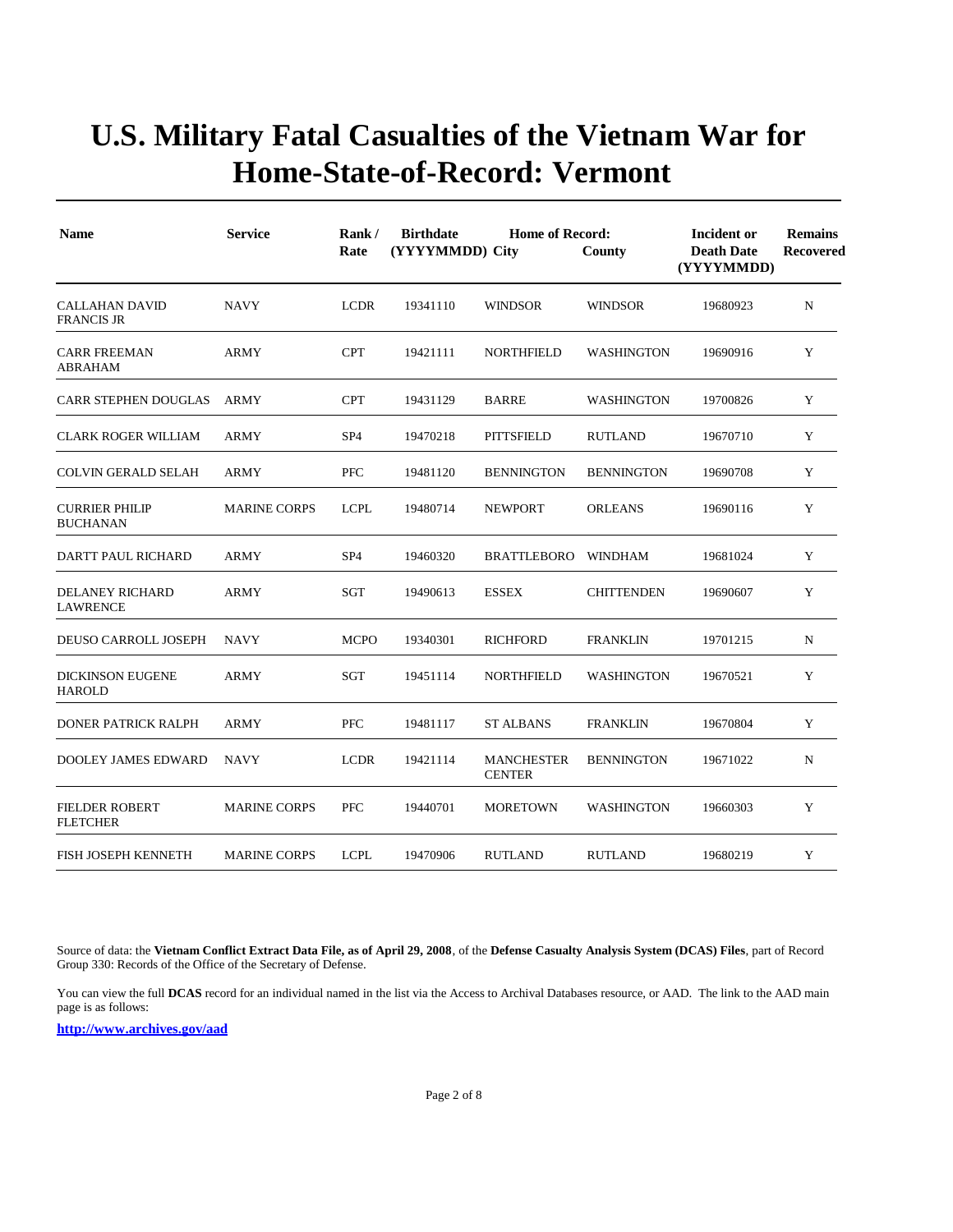| <b>Name</b>                               | <b>Service</b>      | Rank/<br>Rate   | <b>Birthdate</b> | <b>Home of Record:</b><br>(YYYYMMDD) City |                   | Incident or<br><b>Death Date</b><br>(YYYYMMDD) | <b>Remains</b><br>Recovered |
|-------------------------------------------|---------------------|-----------------|------------------|-------------------------------------------|-------------------|------------------------------------------------|-----------------------------|
| CALLAHAN DAVID<br><b>FRANCIS JR</b>       | <b>NAVY</b>         | <b>LCDR</b>     | 19341110         | <b>WINDSOR</b>                            | <b>WINDSOR</b>    | 19680923                                       | ${\bf N}$                   |
| <b>CARR FREEMAN</b><br><b>ABRAHAM</b>     | <b>ARMY</b>         | <b>CPT</b>      | 19421111         | <b>NORTHFIELD</b>                         | <b>WASHINGTON</b> | 19690916                                       | Y                           |
| <b>CARR STEPHEN DOUGLAS</b>               | ARMY                | <b>CPT</b>      | 19431129         | <b>BARRE</b>                              | <b>WASHINGTON</b> | 19700826                                       | Y                           |
| <b>CLARK ROGER WILLIAM</b>                | <b>ARMY</b>         | SP <sub>4</sub> | 19470218         | <b>PITTSFIELD</b>                         | <b>RUTLAND</b>    | 19670710                                       | Y                           |
| <b>COLVIN GERALD SELAH</b>                | ARMY                | PFC             | 19481120         | <b>BENNINGTON</b>                         | <b>BENNINGTON</b> | 19690708                                       | Y                           |
| <b>CURRIER PHILIP</b><br><b>BUCHANAN</b>  | <b>MARINE CORPS</b> | <b>LCPL</b>     | 19480714         | <b>NEWPORT</b>                            | <b>ORLEANS</b>    | 19690116                                       | Y                           |
| <b>DARTT PAUL RICHARD</b>                 | <b>ARMY</b>         | SP <sub>4</sub> | 19460320         | <b>BRATTLEBORO</b>                        | WINDHAM           | 19681024                                       | Y                           |
| <b>DELANEY RICHARD</b><br><b>LAWRENCE</b> | ARMY                | SGT             | 19490613         | <b>ESSEX</b>                              | <b>CHITTENDEN</b> | 19690607                                       | Y                           |
| DEUSO CARROLL JOSEPH                      | <b>NAVY</b>         | <b>MCPO</b>     | 19340301         | <b>RICHFORD</b>                           | <b>FRANKLIN</b>   | 19701215                                       | $\mathbf N$                 |
| <b>DICKINSON EUGENE</b><br><b>HAROLD</b>  | <b>ARMY</b>         | <b>SGT</b>      | 19451114         | <b>NORTHFIELD</b>                         | <b>WASHINGTON</b> | 19670521                                       | Y                           |
| <b>DONER PATRICK RALPH</b>                | <b>ARMY</b>         | <b>PFC</b>      | 19481117         | <b>ST ALBANS</b>                          | <b>FRANKLIN</b>   | 19670804                                       | Y                           |
| <b>DOOLEY JAMES EDWARD</b>                | <b>NAVY</b>         | <b>LCDR</b>     | 19421114         | <b>MANCHESTER</b><br><b>CENTER</b>        | <b>BENNINGTON</b> | 19671022                                       | $\mathbf N$                 |
| <b>FIELDER ROBERT</b><br><b>FLETCHER</b>  | <b>MARINE CORPS</b> | <b>PFC</b>      | 19440701         | <b>MORETOWN</b>                           | <b>WASHINGTON</b> | 19660303                                       | Y                           |
| FISH JOSEPH KENNETH                       | <b>MARINE CORPS</b> | <b>LCPL</b>     | 19470906         | <b>RUTLAND</b>                            | <b>RUTLAND</b>    | 19680219                                       | Y                           |

Source of data: the **Vietnam Conflict Extract Data File, as of April 29, 2008**, of the **Defense Casualty Analysis System (DCAS) Files**, part of Record Group 330: Records of the Office of the Secretary of Defense.

You can view the full **DCAS** record for an individual named in the list via the Access to Archival Databases resource, or AAD. The link to the AAD main page is as follows: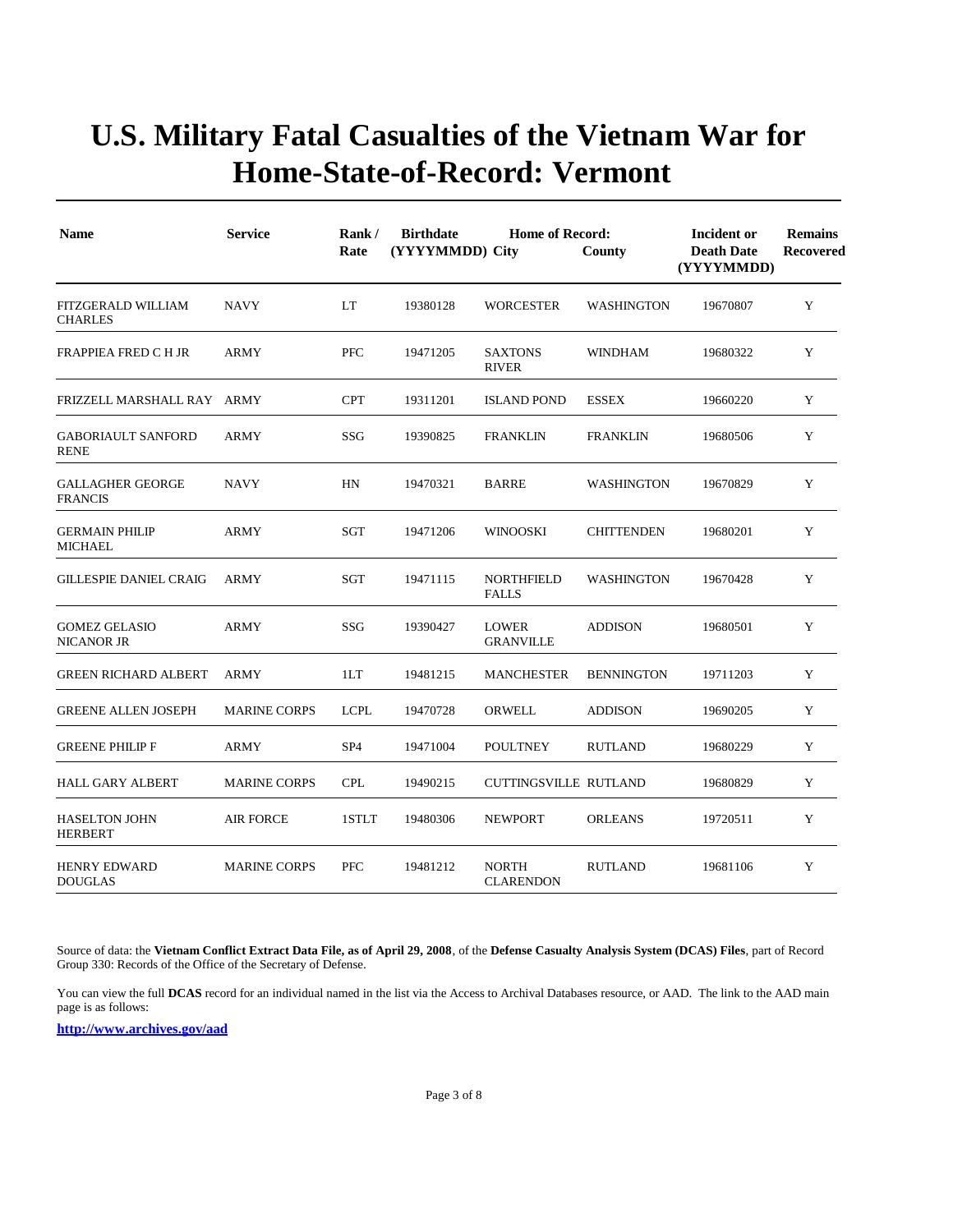| <b>Name</b>                               | <b>Service</b>      | Rank/<br>Rate   | <b>Birthdate</b><br>(YYYYMMDD) City | <b>Home of Record:</b><br>County  | Incident or<br><b>Death Date</b><br>(YYYYMMDD) | <b>Remains</b><br>Recovered |   |
|-------------------------------------------|---------------------|-----------------|-------------------------------------|-----------------------------------|------------------------------------------------|-----------------------------|---|
| FITZGERALD WILLIAM<br><b>CHARLES</b>      | <b>NAVY</b>         | LT              | 19380128                            | <b>WORCESTER</b>                  | <b>WASHINGTON</b>                              | 19670807                    | Y |
| FRAPPIEA FRED C H JR                      | ARMY                | <b>PFC</b>      | 19471205                            | <b>SAXTONS</b><br><b>RIVER</b>    | <b>WINDHAM</b>                                 | 19680322                    | Y |
| FRIZZELL MARSHALL RAY ARMY                |                     | <b>CPT</b>      | 19311201                            | <b>ISLAND POND</b>                | <b>ESSEX</b>                                   | 19660220                    | Y |
| <b>GABORIAULT SANFORD</b><br><b>RENE</b>  | ARMY                | SSG             | 19390825                            | <b>FRANKLIN</b>                   | <b>FRANKLIN</b>                                | 19680506                    | Y |
| <b>GALLAGHER GEORGE</b><br><b>FRANCIS</b> | <b>NAVY</b>         | HN              | 19470321                            | <b>BARRE</b>                      | <b>WASHINGTON</b>                              | 19670829                    | Y |
| <b>GERMAIN PHILIP</b><br><b>MICHAEL</b>   | <b>ARMY</b>         | SGT             | 19471206                            | <b>WINOOSKI</b>                   | <b>CHITTENDEN</b>                              | 19680201                    | Y |
| <b>GILLESPIE DANIEL CRAIG</b>             | <b>ARMY</b>         | <b>SGT</b>      | 19471115                            | <b>NORTHFIELD</b><br><b>FALLS</b> | <b>WASHINGTON</b>                              | 19670428                    | Y |
| <b>GOMEZ GELASIO</b><br>NICANOR JR        | ARMY                | SSG             | 19390427                            | <b>LOWER</b><br><b>GRANVILLE</b>  | <b>ADDISON</b>                                 | 19680501                    | Y |
| <b>GREEN RICHARD ALBERT</b>               | <b>ARMY</b>         | 1LT             | 19481215                            | <b>MANCHESTER</b>                 | <b>BENNINGTON</b>                              | 19711203                    | Y |
| <b>GREENE ALLEN JOSEPH</b>                | <b>MARINE CORPS</b> | <b>LCPL</b>     | 19470728                            | <b>ORWELL</b>                     | <b>ADDISON</b>                                 | 19690205                    | Y |
| <b>GREENE PHILIP F</b>                    | <b>ARMY</b>         | SP <sub>4</sub> | 19471004                            | <b>POULTNEY</b>                   | <b>RUTLAND</b>                                 | 19680229                    | Y |
| <b>HALL GARY ALBERT</b>                   | <b>MARINE CORPS</b> | <b>CPL</b>      | 19490215                            | <b>CUTTINGSVILLE RUTLAND</b>      |                                                | 19680829                    | Y |
| <b>HASELTON JOHN</b><br><b>HERBERT</b>    | <b>AIR FORCE</b>    | 1STLT           | 19480306                            | <b>NEWPORT</b>                    | <b>ORLEANS</b>                                 | 19720511                    | Y |
| <b>HENRY EDWARD</b><br><b>DOUGLAS</b>     | <b>MARINE CORPS</b> | <b>PFC</b>      | 19481212                            | <b>NORTH</b><br><b>CLARENDON</b>  | <b>RUTLAND</b>                                 | 19681106                    | Y |

Source of data: the **Vietnam Conflict Extract Data File, as of April 29, 2008**, of the **Defense Casualty Analysis System (DCAS) Files**, part of Record Group 330: Records of the Office of the Secretary of Defense.

You can view the full **DCAS** record for an individual named in the list via the Access to Archival Databases resource, or AAD. The link to the AAD main page is as follows: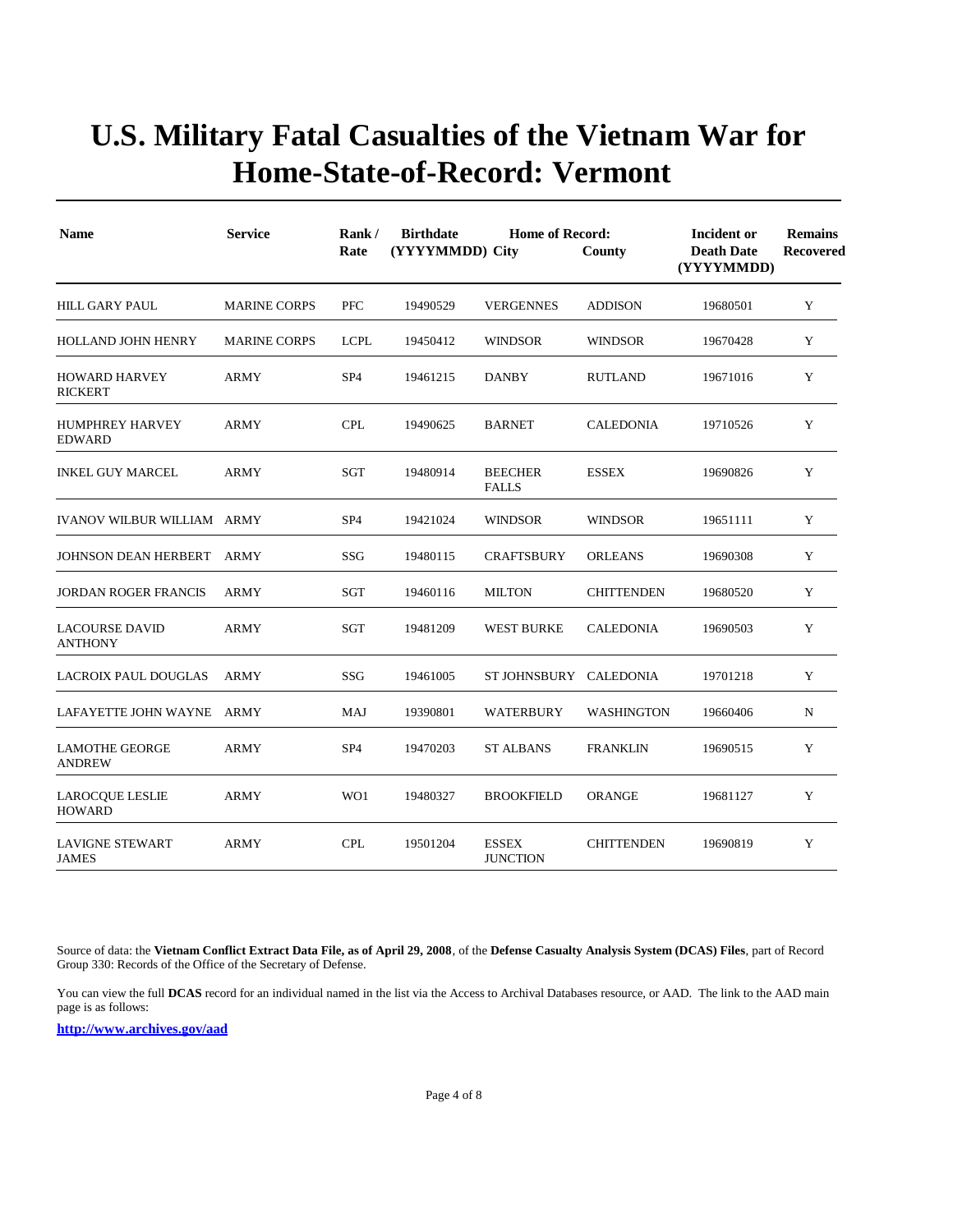| <b>Name</b>                             | <b>Service</b>      | Rank/<br>Rate   | <b>Birthdate</b><br>(YYYYMMDD) City | <b>Home of Record:</b>          | County            | Incident or<br><b>Death Date</b><br>(YYYYMMDD) | <b>Remains</b><br>Recovered |
|-----------------------------------------|---------------------|-----------------|-------------------------------------|---------------------------------|-------------------|------------------------------------------------|-----------------------------|
| HILL GARY PAUL                          | <b>MARINE CORPS</b> | PFC             | 19490529                            | <b>VERGENNES</b>                | <b>ADDISON</b>    | 19680501                                       | Y                           |
| HOLLAND JOHN HENRY                      | <b>MARINE CORPS</b> | <b>LCPL</b>     | 19450412                            | <b>WINDSOR</b>                  | <b>WINDSOR</b>    | 19670428                                       | Y                           |
| <b>HOWARD HARVEY</b><br><b>RICKERT</b>  | <b>ARMY</b>         | SP <sub>4</sub> | 19461215                            | <b>DANBY</b>                    | <b>RUTLAND</b>    | 19671016                                       | Y                           |
| <b>HUMPHREY HARVEY</b><br><b>EDWARD</b> | <b>ARMY</b>         | <b>CPL</b>      | 19490625                            | <b>BARNET</b>                   | <b>CALEDONIA</b>  | 19710526                                       | Y                           |
| <b>INKEL GUY MARCEL</b>                 | ARMY                | SGT             | 19480914                            | <b>BEECHER</b><br><b>FALLS</b>  | <b>ESSEX</b>      | 19690826                                       | Y                           |
| <b>IVANOV WILBUR WILLIAM ARMY</b>       |                     | SP <sub>4</sub> | 19421024                            | <b>WINDSOR</b>                  | <b>WINDSOR</b>    | 19651111                                       | Y                           |
| JOHNSON DEAN HERBERT                    | ARMY                | <b>SSG</b>      | 19480115                            | <b>CRAFTSBURY</b>               | <b>ORLEANS</b>    | 19690308                                       | Y                           |
| <b>JORDAN ROGER FRANCIS</b>             | <b>ARMY</b>         | <b>SGT</b>      | 19460116                            | <b>MILTON</b>                   | <b>CHITTENDEN</b> | 19680520                                       | Y                           |
| <b>LACOURSE DAVID</b><br><b>ANTHONY</b> | <b>ARMY</b>         | SGT             | 19481209                            | <b>WEST BURKE</b>               | <b>CALEDONIA</b>  | 19690503                                       | Y                           |
| <b>LACROIX PAUL DOUGLAS</b>             | <b>ARMY</b>         | <b>SSG</b>      | 19461005                            | ST JOHNSBURY CALEDONIA          |                   | 19701218                                       | Y                           |
| LAFAYETTE JOHN WAYNE ARMY               |                     | MAJ             | 19390801                            | <b>WATERBURY</b>                | <b>WASHINGTON</b> | 19660406                                       | N                           |
| <b>LAMOTHE GEORGE</b><br><b>ANDREW</b>  | <b>ARMY</b>         | SP <sub>4</sub> | 19470203                            | <b>ST ALBANS</b>                | <b>FRANKLIN</b>   | 19690515                                       | Y                           |
| LAROCQUE LESLIE<br><b>HOWARD</b>        | ARMY                | WO1             | 19480327                            | <b>BROOKFIELD</b>               | <b>ORANGE</b>     | 19681127                                       | Y                           |
| <b>LAVIGNE STEWART</b><br><b>JAMES</b>  | <b>ARMY</b>         | <b>CPL</b>      | 19501204                            | <b>ESSEX</b><br><b>JUNCTION</b> | <b>CHITTENDEN</b> | 19690819                                       | Y                           |

Source of data: the **Vietnam Conflict Extract Data File, as of April 29, 2008**, of the **Defense Casualty Analysis System (DCAS) Files**, part of Record Group 330: Records of the Office of the Secretary of Defense.

You can view the full **DCAS** record for an individual named in the list via the Access to Archival Databases resource, or AAD. The link to the AAD main page is as follows: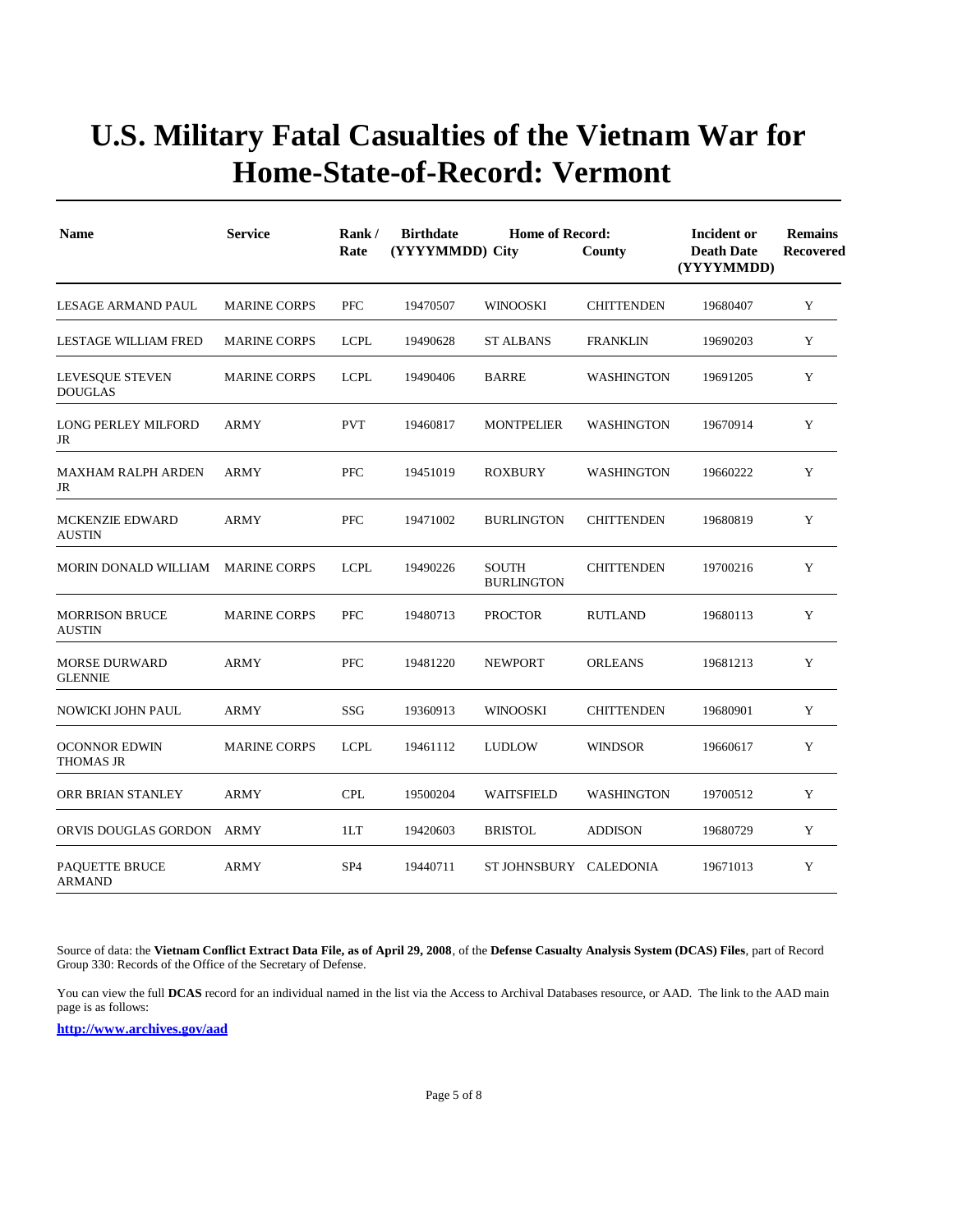| <b>Name</b>                             | <b>Service</b>      | Rank/<br>Rate   | <b>Birthdate</b><br>(YYYYMMDD) City | <b>Home of Record:</b>            | County            | Incident or<br><b>Death Date</b><br>(YYYYMMDD) | <b>Remains</b><br>Recovered |
|-----------------------------------------|---------------------|-----------------|-------------------------------------|-----------------------------------|-------------------|------------------------------------------------|-----------------------------|
| LESAGE ARMAND PAUL                      | <b>MARINE CORPS</b> | <b>PFC</b>      | 19470507                            | <b>WINOOSKI</b>                   | <b>CHITTENDEN</b> | 19680407                                       | Y                           |
| <b>LESTAGE WILLIAM FRED</b>             | <b>MARINE CORPS</b> | <b>LCPL</b>     | 19490628                            | <b>ST ALBANS</b>                  | <b>FRANKLIN</b>   | 19690203                                       | Y                           |
| LEVESQUE STEVEN<br><b>DOUGLAS</b>       | <b>MARINE CORPS</b> | <b>LCPL</b>     | 19490406                            | <b>BARRE</b>                      | <b>WASHINGTON</b> | 19691205                                       | Y                           |
| <b>LONG PERLEY MILFORD</b><br>JR        | <b>ARMY</b>         | <b>PVT</b>      | 19460817                            | <b>MONTPELIER</b>                 | <b>WASHINGTON</b> | 19670914                                       | Y                           |
| <b>MAXHAM RALPH ARDEN</b><br>JR         | ARMY                | <b>PFC</b>      | 19451019                            | <b>ROXBURY</b>                    | <b>WASHINGTON</b> | 19660222                                       | Y                           |
| <b>MCKENZIE EDWARD</b><br><b>AUSTIN</b> | <b>ARMY</b>         | <b>PFC</b>      | 19471002                            | <b>BURLINGTON</b>                 | <b>CHITTENDEN</b> | 19680819                                       | Y                           |
| MORIN DONALD WILLIAM                    | <b>MARINE CORPS</b> | <b>LCPL</b>     | 19490226                            | <b>SOUTH</b><br><b>BURLINGTON</b> | <b>CHITTENDEN</b> | 19700216                                       | Y                           |
| <b>MORRISON BRUCE</b><br><b>AUSTIN</b>  | <b>MARINE CORPS</b> | <b>PFC</b>      | 19480713                            | <b>PROCTOR</b>                    | <b>RUTLAND</b>    | 19680113                                       | Y                           |
| <b>MORSE DURWARD</b><br><b>GLENNIE</b>  | <b>ARMY</b>         | <b>PFC</b>      | 19481220                            | <b>NEWPORT</b>                    | <b>ORLEANS</b>    | 19681213                                       | Y                           |
| NOWICKI JOHN PAUL                       | <b>ARMY</b>         | SSG             | 19360913                            | <b>WINOOSKI</b>                   | <b>CHITTENDEN</b> | 19680901                                       | Y                           |
| <b>OCONNOR EDWIN</b><br>THOMAS JR       | <b>MARINE CORPS</b> | <b>LCPL</b>     | 19461112                            | <b>LUDLOW</b>                     | <b>WINDSOR</b>    | 19660617                                       | Y                           |
| ORR BRIAN STANLEY                       | <b>ARMY</b>         | <b>CPL</b>      | 19500204                            | WAITSFIELD                        | <b>WASHINGTON</b> | 19700512                                       | Y                           |
| ORVIS DOUGLAS GORDON                    | ARMY                | 1LT             | 19420603                            | <b>BRISTOL</b>                    | <b>ADDISON</b>    | 19680729                                       | Y                           |
| PAQUETTE BRUCE<br><b>ARMAND</b>         | <b>ARMY</b>         | SP <sub>4</sub> | 19440711                            | ST JOHNSBURY CALEDONIA            |                   | 19671013                                       | Y                           |

Source of data: the **Vietnam Conflict Extract Data File, as of April 29, 2008**, of the **Defense Casualty Analysis System (DCAS) Files**, part of Record Group 330: Records of the Office of the Secretary of Defense.

You can view the full **DCAS** record for an individual named in the list via the Access to Archival Databases resource, or AAD. The link to the AAD main page is as follows: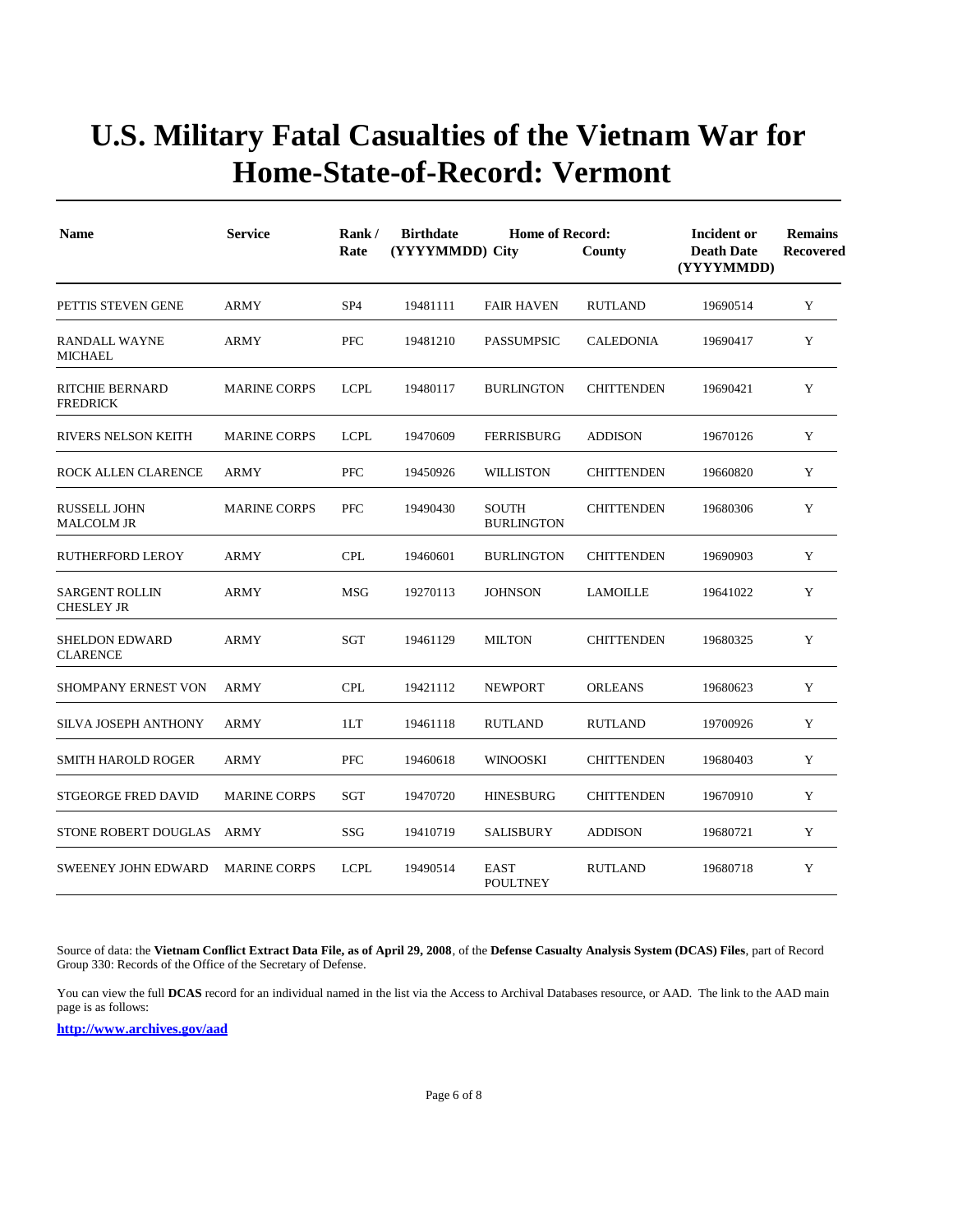| <b>Name</b>                                | <b>Service</b>      | Rank/<br>Rate   | <b>Birthdate</b><br>(YYYYMMDD) City | <b>Home of Record:</b>            | County            | <b>Incident or</b><br><b>Death Date</b><br>(YYYYMMDD) | <b>Remains</b><br>Recovered |
|--------------------------------------------|---------------------|-----------------|-------------------------------------|-----------------------------------|-------------------|-------------------------------------------------------|-----------------------------|
| PETTIS STEVEN GENE                         | <b>ARMY</b>         | SP <sub>4</sub> | 19481111                            | <b>FAIR HAVEN</b>                 | <b>RUTLAND</b>    | 19690514                                              | Y                           |
| RANDALL WAYNE<br><b>MICHAEL</b>            | <b>ARMY</b>         | <b>PFC</b>      | 19481210                            | <b>PASSUMPSIC</b>                 | <b>CALEDONIA</b>  | 19690417                                              | Y                           |
| <b>RITCHIE BERNARD</b><br><b>FREDRICK</b>  | <b>MARINE CORPS</b> | <b>LCPL</b>     | 19480117                            | <b>BURLINGTON</b>                 | <b>CHITTENDEN</b> | 19690421                                              | Y                           |
| <b>RIVERS NELSON KEITH</b>                 | <b>MARINE CORPS</b> | <b>LCPL</b>     | 19470609                            | <b>FERRISBURG</b>                 | <b>ADDISON</b>    | 19670126                                              | Y                           |
| <b>ROCK ALLEN CLARENCE</b>                 | <b>ARMY</b>         | PFC             | 19450926                            | <b>WILLISTON</b>                  | <b>CHITTENDEN</b> | 19660820                                              | Y                           |
| <b>RUSSELL JOHN</b><br><b>MALCOLM JR</b>   | <b>MARINE CORPS</b> | <b>PFC</b>      | 19490430                            | <b>SOUTH</b><br><b>BURLINGTON</b> | <b>CHITTENDEN</b> | 19680306                                              | Y                           |
| <b>RUTHERFORD LEROY</b>                    | <b>ARMY</b>         | <b>CPL</b>      | 19460601                            | <b>BURLINGTON</b>                 | <b>CHITTENDEN</b> | 19690903                                              | Y                           |
| <b>SARGENT ROLLIN</b><br><b>CHESLEY JR</b> | ARMY                | <b>MSG</b>      | 19270113                            | <b>JOHNSON</b>                    | <b>LAMOILLE</b>   | 19641022                                              | Y                           |
| <b>SHELDON EDWARD</b><br><b>CLARENCE</b>   | <b>ARMY</b>         | SGT             | 19461129                            | <b>MILTON</b>                     | <b>CHITTENDEN</b> | 19680325                                              | Y                           |
| SHOMPANY ERNEST VON                        | <b>ARMY</b>         | <b>CPL</b>      | 19421112                            | <b>NEWPORT</b>                    | <b>ORLEANS</b>    | 19680623                                              | Y                           |
| <b>SILVA JOSEPH ANTHONY</b>                | <b>ARMY</b>         | 1LT             | 19461118                            | <b>RUTLAND</b>                    | <b>RUTLAND</b>    | 19700926                                              | Y                           |
| <b>SMITH HAROLD ROGER</b>                  | <b>ARMY</b>         | <b>PFC</b>      | 19460618                            | <b>WINOOSKI</b>                   | <b>CHITTENDEN</b> | 19680403                                              | Y                           |
| <b>STGEORGE FRED DAVID</b>                 | <b>MARINE CORPS</b> | SGT             | 19470720                            | <b>HINESBURG</b>                  | <b>CHITTENDEN</b> | 19670910                                              | Y                           |
| <b>STONE ROBERT DOUGLAS</b>                | <b>ARMY</b>         | SSG             | 19410719                            | SALISBURY                         | <b>ADDISON</b>    | 19680721                                              | Y                           |
| <b>SWEENEY JOHN EDWARD</b>                 | <b>MARINE CORPS</b> | <b>LCPL</b>     | 19490514                            | <b>EAST</b><br><b>POULTNEY</b>    | <b>RUTLAND</b>    | 19680718                                              | Y                           |

Source of data: the **Vietnam Conflict Extract Data File, as of April 29, 2008**, of the **Defense Casualty Analysis System (DCAS) Files**, part of Record Group 330: Records of the Office of the Secretary of Defense.

You can view the full **DCAS** record for an individual named in the list via the Access to Archival Databases resource, or AAD. The link to the AAD main page is as follows: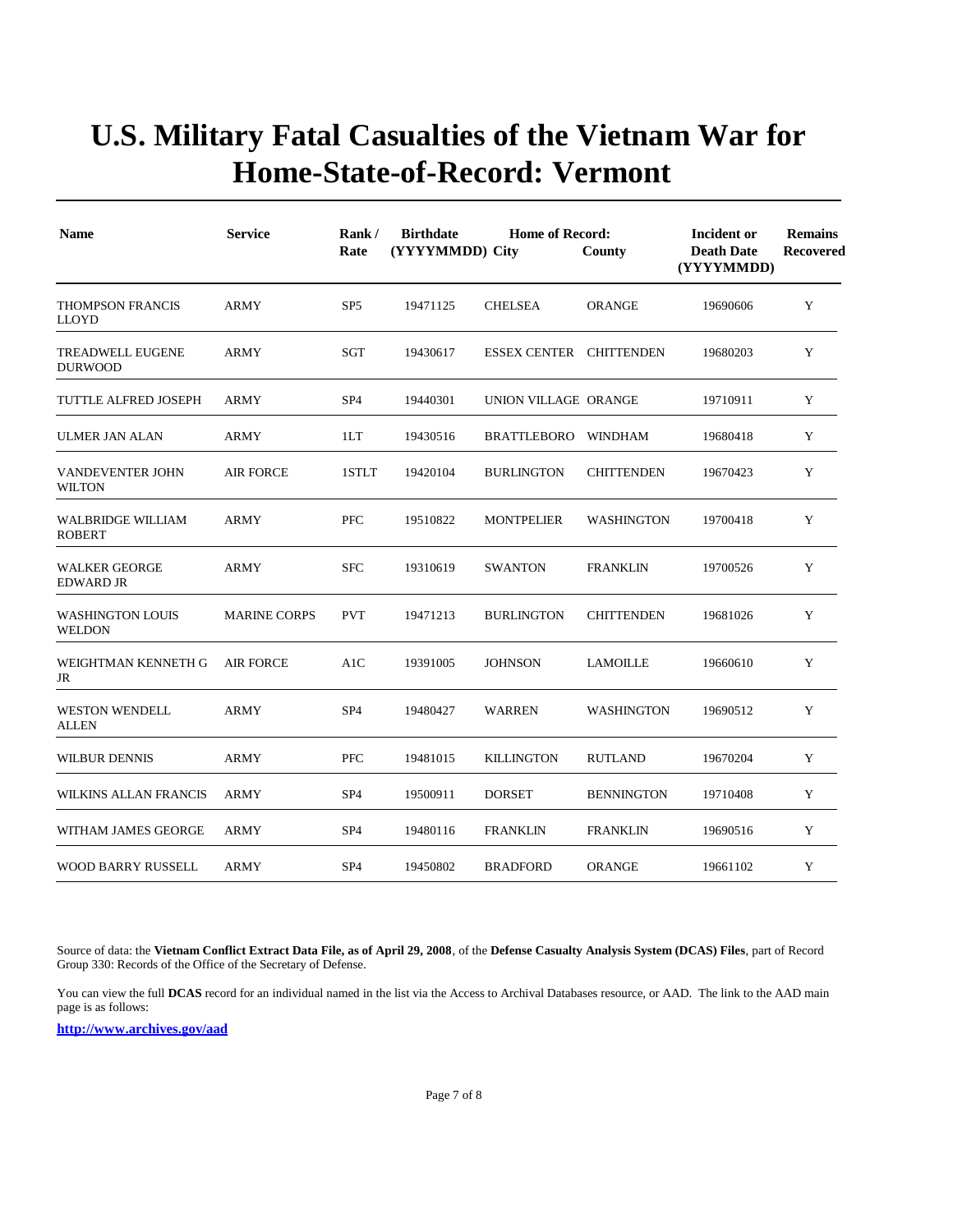| <b>Name</b>                               | <b>Service</b>      | Rank/<br>Rate   | <b>Birthdate</b><br>(YYYYMMDD) City | <b>Home of Record:</b>  | County            | <b>Incident or</b><br><b>Death Date</b><br>(YYYYMMDD) | <b>Remains</b><br><b>Recovered</b> |
|-------------------------------------------|---------------------|-----------------|-------------------------------------|-------------------------|-------------------|-------------------------------------------------------|------------------------------------|
| THOMPSON FRANCIS<br><b>LLOYD</b>          | <b>ARMY</b>         | SP <sub>5</sub> | 19471125                            | <b>CHELSEA</b>          | <b>ORANGE</b>     | 19690606                                              | Y                                  |
| <b>TREADWELL EUGENE</b><br><b>DURWOOD</b> | ARMY                | SGT             | 19430617                            | ESSEX CENTER CHITTENDEN |                   | 19680203                                              | Y                                  |
| TUTTLE ALFRED JOSEPH                      | <b>ARMY</b>         | SP <sub>4</sub> | 19440301                            | UNION VILLAGE ORANGE    |                   | 19710911                                              | Y                                  |
| <b>ULMER JAN ALAN</b>                     | <b>ARMY</b>         | 1LT             | 19430516                            | <b>BRATTLEBORO</b>      | WINDHAM           | 19680418                                              | Y                                  |
| <b>VANDEVENTER JOHN</b><br><b>WILTON</b>  | <b>AIR FORCE</b>    | 1STLT           | 19420104                            | <b>BURLINGTON</b>       | <b>CHITTENDEN</b> | 19670423                                              | Y                                  |
| <b>WALBRIDGE WILLIAM</b><br><b>ROBERT</b> | <b>ARMY</b>         | <b>PFC</b>      | 19510822                            | <b>MONTPELIER</b>       | WASHINGTON        | 19700418                                              | Y                                  |
| <b>WALKER GEORGE</b><br><b>EDWARD JR</b>  | <b>ARMY</b>         | <b>SFC</b>      | 19310619                            | <b>SWANTON</b>          | <b>FRANKLIN</b>   | 19700526                                              | Y                                  |
| <b>WASHINGTON LOUIS</b><br><b>WELDON</b>  | <b>MARINE CORPS</b> | <b>PVT</b>      | 19471213                            | <b>BURLINGTON</b>       | <b>CHITTENDEN</b> | 19681026                                              | Y                                  |
| WEIGHTMAN KENNETH G<br>JR                 | <b>AIR FORCE</b>    | A1C             | 19391005                            | <b>JOHNSON</b>          | <b>LAMOILLE</b>   | 19660610                                              | Y                                  |
| <b>WESTON WENDELL</b><br>ALLEN            | <b>ARMY</b>         | SP <sub>4</sub> | 19480427                            | <b>WARREN</b>           | <b>WASHINGTON</b> | 19690512                                              | Y                                  |
| WILBUR DENNIS                             | <b>ARMY</b>         | <b>PFC</b>      | 19481015                            | <b>KILLINGTON</b>       | <b>RUTLAND</b>    | 19670204                                              | Y                                  |
| WILKINS ALLAN FRANCIS                     | ARMY                | SP <sub>4</sub> | 19500911                            | <b>DORSET</b>           | <b>BENNINGTON</b> | 19710408                                              | Y                                  |
| WITHAM JAMES GEORGE                       | <b>ARMY</b>         | SP <sub>4</sub> | 19480116                            | <b>FRANKLIN</b>         | <b>FRANKLIN</b>   | 19690516                                              | Y                                  |
| <b>WOOD BARRY RUSSELL</b>                 | <b>ARMY</b>         | SP <sub>4</sub> | 19450802                            | <b>BRADFORD</b>         | <b>ORANGE</b>     | 19661102                                              | Y                                  |

Source of data: the **Vietnam Conflict Extract Data File, as of April 29, 2008**, of the **Defense Casualty Analysis System (DCAS) Files**, part of Record Group 330: Records of the Office of the Secretary of Defense.

You can view the full **DCAS** record for an individual named in the list via the Access to Archival Databases resource, or AAD. The link to the AAD main page is as follows: